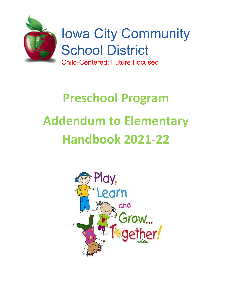

# **Preschool Program Addendum to Elementary Handbook 2021-22**

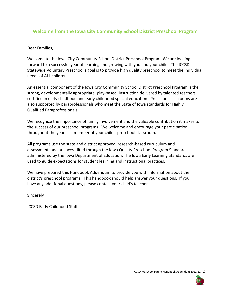# **Welcome from the Iowa City Community School District Preschool Program**

Dear Families,

Welcome to the Iowa City Community School District Preschool Program. We are looking forward to a successful year of learning and growing with you and your child. The ICCSD's Statewide Voluntary Preschool's goal is to provide high quality preschool to meet the individual needs of ALL children.

An essential component of the Iowa City Community School District Preschool Program is the strong, developmentally appropriate, play-based instruction delivered by talented teachers certified in early childhood and early childhood special education. Preschool classrooms are also supported by paraprofessionals who meet the State of Iowa standards for Highly Qualified Paraprofessionals.

We recognize the importance of family involvement and the valuable contribution it makes to the success of our preschool programs. We welcome and encourage your participation throughout the year as a member of your child's preschool classroom.

All programs use the state and district approved, research-based curriculum and assessment, and are accredited through the Iowa Quality Preschool Program Standards administered by the Iowa Department of Education. The Iowa Early Learning Standards are used to guide expectations for student learning and instructional practices.

We have prepared this Handbook Addendum to provide you with information about the district's preschool programs. This handbook should help answer your questions. If you have any additional questions, please contact your child's teacher.

Sincerely,

ICCSD Early Childhood Staff

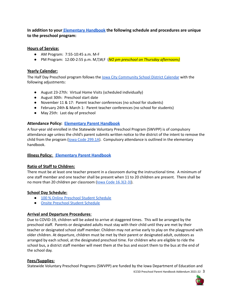**In addition to your [Elementary Handbook](https://www.iowacityschools.org/domain/27) the following schedule and procedures are unique to the preschool program:**

#### **Hours of Service:**

- AM Program: 7:55-10:45 a.m. M-F
- PM Program: 12:00-2:55 p.m. M,T,W,F (*NO pm preschool on Thursday afternoons)*

#### **Yearly Calendar:**

The Half Day Preschool program follows the lowa City [Community](https://www.iowacityschools.org/Page/17903) School District Calendar with the following adjustments:

- August 23-27th: Virtual Home Visits (scheduled individually)
- August 30th: Preschool start date
- November 11 & 17: Parent teacher conferences (no school for students)
- February 24th & March 1: Parent teacher conferences (no school for students)
- May 25th: Last day of preschool

#### **Attendance Policy: [Elementary Parent Handbook](https://www.iowacityschools.org/domain/27)**

A four-year old enrolled in the Statewide Voluntary Preschool Program (SWVPP) is of compulsory attendance age unless the child's parent submits written notice to the district of the intent to remove the child from the program (lowa Code [299.1A\)](https://www.legis.iowa.gov/docs/code/299.1A.pdf). Compulsory attendance is outlined in the elementary handbook.

# **Illness Policy: [Elementary Parent Handbook](https://www.iowacityschools.org/domain/27)**

# **Ratio of Staff to Children:**

There must be at least one teacher present in a classroom during the instructional time. A minimum of one staff member and one teacher shall be present when 11 to 20 children are present. There shall be no more than 20 children per classroom (lowa Code [16.3\(2-3\)](https://www.legis.iowa.gov/docs/ACO/chapter/281.16.pdf)).

# **School Day Schedule:**

- 100 % Online [Preschool](https://drive.google.com/file/d/13LuKSOjkqQiiKOTTcIx_y7ak8pAUfr8_/view?usp=sharing) Student Schedule
- Onsite [Preschool](https://drive.google.com/file/d/1hpIJgYJqVowg4Aa0uZEkeZ3OXfScdnvr/view?usp=sharing) Student Schedule

# **Arrival and Departure Procedures**:

Due to COVID-19, children will be asked to arrive at staggered times. This will be arranged by the preschool staff. Parents or designated adults must stay with their child until they are met by their teacher or designated school staff member. Children may not arrive early to play on the playground with older children. At departure, children must be met by their parent or designated adult, outdoors as arranged by each school, at the designated preschool time. For children who are eligible to ride the school bus, a district staff member will meet them at the bus and escort them to the bus at the end of the school day.

#### **Fees/Supplies:**

Statewide Voluntary Preschool Programs (SWVPP) are funded by the Iowa Department of Education and

ICCSD Preschool Parent Handbook Addendum 2021-22 3

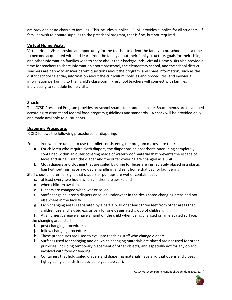are provided at no charge to families. This includes supplies. ICCSD provides supplies for all students. If families wish to donate supplies to the preschool program, that is fine, but not required.

# **Virtual Home Visits:**

Virtual Home Visits provide an opportunity for the teacher to orient the family to preschool. It is a time to become acquainted with and learn from the family about their family structure, goals for their child, and other information families wish to share about their backgrounds. Virtual Home Visits also provide a time for teachers to share information about preschool, the elementary school, and the school district. Teachers are happy to answer parent questions about the program, and share information, such as the district school calendar, information about the curriculum, policies and procedures, and individual information pertaining to their child's classroom. Preschool teachers will connect with families individually to schedule home visits.

# **Snack:**

The ICCSD Preschool Program provides preschool snacks for students onsite. Snack menus are developed according to district and federal food program guidelines and standards. A snack will be provided daily and made available to all students.

# **Diapering Procedure:**

ICCSD follows the following procedures for diapering:

For children who are unable to use the toilet consistently, the program makes sure that:

- a. For children who require cloth diapers, the diaper has an absorbent inner lining completely contained within an outer covering made of waterproof material that prevents the escape of feces and urine. Both the diaper and the outer covering are changed as a unit.
- b. Cloth diapers and clothing that are soiled by urine for feces are immediately placed in a plastic bag (without rinsing or avoidable handling) and sent home that day for laundering.

Staff check children for signs that diapers or pull-ups are wet or contain feces

- c. at least every two hours when children are awake and
	- d. when children awaken.
- e. Diapers are changed when wet or soiled.
- f. Staff change children's diapers or soiled underwear in the designated changing areas and not elsewhere in the facility.
- g. Each changing area is separated by a partial wall or at least three feet from other areas that children use and is used exclusively for one designated group of children.

h. At all times, caregivers have a hand on the child when being changed on an elevated surface. In the changing area, staff

- i. post changing procedures and
- j. follow changing procedures
- k. These procedures are used to evaluate teaching staff who change diapers.
- l. Surfaces used for changing and on which changing materials are placed are not used for other purposes, including temporary placement of other objects, and especially not for any object involved with food or feeding.
- m. Containers that hold soiled diapers and diapering materials have a lid that opens and closes tightly using a hands-free device (e.g. a step can).